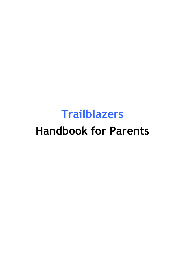# **Trailblazers Handbook for Parents**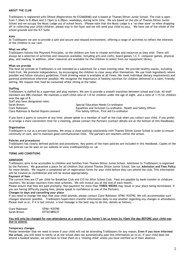# **ABOUT THE CLUB**

Trailblazers is registered with Ofsted (Registration No EY2660048) and is based at Thames Ditton Junior School. The club is open from 7.30am to 8.40am and 3.15pm to 6.00pm. weekdays, during term time. We are based on the site of Thames Ditton Junior School and we occupy the Music Lodge out of school hours. (Please note that the Music Lodge is a 'no shoe zone' so when dropping off or collecting your child/children, please stay in the foyer and we will send your child to you). We have use of the whole of the school grounds and the ICT Suite.

## **Aims**

At Trailblazers we aim to provide a safe and secure and relaxed environment, offering a range of activities to reflect the interests of the children in our care.

## **What we offer**

Trailblazers follows the Playwork Principles, so the children are free to choose activities and resources as they wish. There will always be a selection of activities and resources available, including arts and crafts, board games, I.C.T. computer games, physical play, and reading. In addition, other resources are available for the children to select from our equipment library.

## **What we provide**

The food we provide at Trailblazers is not intended as a substitute for a main evening meal. We provide healthy snacks, including fresh fruit. We promote independence, by encouraging the children to clear away after themselves. We use fresh ingredients where possible and follow statutory guidelines. Fresh drinking water is available at all times. We meet individual dietary requirements and parental preferences wherever possible. We recognise the importance of healthy nutrition for children delivered in a calm, friendly setting. We request that food be consumed whilst sitting at the table.

## **Staffing**

Trailblazers is staffed by a supervisor and play workers. We aim to provide a smooth transition between school and club. All staff members are DBS checked. We maintain a staff/child ratio of 1:8 for children under the age of eight, and a ratio of 1:15 for children over the age of 8. Staff also have designated roles:

| <b>Starf also have designated roles.</b> |                                                                  |
|------------------------------------------|------------------------------------------------------------------|
| Sarah Brown:                             | Special Education Needs Co-ordinator                             |
| Clare Robinson:                          | Equalities and Inclusion Co-ordinator, Health and Safety Officer |
| Clare Robinson & Rachel Dupres-Leonard   | Fire Safety Officer, First Aid Co-ordinator                      |
|                                          |                                                                  |

If you have a query or concern at any time, please speak to a member of staff at the club when you collect your child. If you prefer to arrange a more convenient time for a meeting, please contact the Partners (contact details are at the bottom of this Handbook).

## **Organisation**

Trailblazers is run as a private business. We enjoy a close working relationship with Thames Ditton Junior School in order to ensure continuity of care, and to maintain good communication links. The partners are teachers within the school.

## **Policies and procedures**

Trailblazers has clearly defined policies and procedures. Key points of the main policies are included in this Handbook. Copies of the full policies can be seen on our website at www.trailblazerstdjs.co .uk

## **TERMS AND CONDITIONS**

## **ADMISSION**

Trailblazers aims to be accessible to children and families from Thames Ditton Junior School. Admission to Trailblazers is organised by the Partners. We guarantee a place for all children that attend Thames Ditton Junior School. See our **Admission and Fees Policy** for more details. We require a completed set of registration forms for your child before they can attend the club. This information will be treated as confidential and will be stored appropriately.

## **Payment of fees**

The current fees are £7 per child for Breakfast Club and £15 for After School Club. Fees are payable by bank transfer or childcare vouchers. We accept vouchers from most schemes. We will invoice you at the end of each month.

Please ensure that fees are paid promptly. Non-payment for more than **THREE WEEKS** may result in your place being terminated. If you are having difficulty paying fees, please speak in confidence to one of the Partners.

# **Changes to days and cancelling your place**

If you need to change the days that your child attends, please contact Clare Robinson 07961 935790. We will accommodate such changes wherever possible. Trailblazers Supervisors transfer information daily to one another regarding any changes in attendance. Please mail us or, if it is last minute, a text message is the best way to do this, details as follows: -

| Clare Robinson | 07961 935790 |  |
|----------------|--------------|--|
| Sarah Brown    | 07720 889237 |  |

## **You will only be charged for non-attendance at a session if you haven't let us know by 10am the day BEFORE your child was due to attend.**

## **Temporary changes**

Please remember that we need to know if your child will not be attending Trailblazers for any reason. **Even if you have informed the school,** you still need to notify us as the school does not automatically pass this information on to us. If your child does not attend a booked session, we will have to treat them as a 'missing child' unless you have notified us of their absence.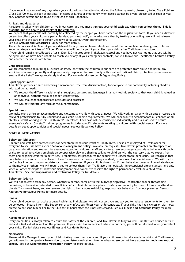If you know in advance of any days when your child will not be attending during the following week, please try to let Clare Robinson 07961 935790 know as soon as possible. In cases of illness or emergency when notice cannot be given, please call as soon as you can. Contact details can be found at the end of this Handbook.

## **Arrivals and departures**

A register is taken when children arrive in our care, and you **must sign out your child each day when you collect them. This is essential for the health and safety of the children.**

We expect that your child will normally be collected by the people you have named on the registration form. If you need a different person to collect your child on a particular day, you must notify us in advance either by texting or emailing. We will not release your child into the care of a person unknown to us without your authorisation.

See our **Arrivals and Departures Policy** for more details.

The club finishes at 6.00pm, if you are delayed for any reason please telephone one of the two mobile numbers given, to let us know. A late payment fee of £15 per 15 minutes will be charged if you collect your child after Trailblazers has closed. If your child remains uncollected after 6.30pm [30 minutes after Trailblazers closes] and you have not warned us that you will be delayed, and we have been unable to reach you or any of your emergency contacts, we will follow our **Uncollected Children Policy** and contact the Social Care team.

## **Child protection**

We are committed to building a 'culture of safety' in which the children in our care are protected from abuse and harm. Any suspicion of abuse is promptly and appropriately responded to. We comply with local and national child protection procedures and ensure that all staff are appropriately trained. For more details see our **Safeguarding Policy**.

## **Equal opportunities**

Trailblazers provides a safe and caring environment, free from discrimination, for everyone in our community including children with additional needs.

- We respect the different racial origins, religions, cultures and languages in a multi-ethnic society so that each child is valued as an individual without racial or gender stereotyping.
- We will challenge inappropriate attitudes and practices
- We will not tolerate any form of racial harassment.

## **Special needs**

We make every effort to accommodate and welcome any child with special needs. We will work in liaison with parents or carers and relevant professionals to fully understand your child's specific requirements. We will endeavour to accommodate all children of all abilities, whilst working within Trailblazers' limitations. Each case will be considered individually and risk-assessed to ensure everyone's safety. Our staff training programme includes specific elements relating to children with special needs. For more details on equal opportunities and special needs, see our **Equalities Policy**.

## **GENERAL INFORMATION**

## **Behaviour (children)**

Children and staff have created rules for acceptable behaviour whilst at Trailblazers. These are displayed at Trailblazers for everyone to see. We have a clear **Behaviour Management Policy**, available on request. Trailblazers promotes an atmosphere of care, consideration and respect for everyone attending, children, staff and visitors. We encourage appropriate behaviour through praise for good behaviour; emphasis on co-operative play and sharing; talking to children with the courtesy that we expect from them and engaging children in activities. Trailblazers has procedures for dealing with unacceptable behaviour. We recognise that poor behaviour can occur from time to time for reasons that are not always evident, or as a result of special needs. We will try to be flexible in order to accommodate such cases. However, if your child is violent, or if their behaviour poses an immediate danger to themselves or others, we will require you to collect them from Trailblazers immediately. In exceptional circumstances, and only when all other attempts at behaviour management have failed, we reserve the right to permanently exclude a child from Trailblazers. See our **Suspensions and Exclusions Policy** for full details.

## **Behaviour (adults)**

We will not tolerate from any person, whether a parent, carer or visitor: bullying; aggressive, confrontational or threatening behaviour; or behaviour intended to result in conflict. Trailblazers is a place of safety and security for the children who attend and the staff who work here, and we reserve the right to ban anyone exhibiting inappropriate behaviour from our premises. See our **Aggressive Behaviour Policy** for more details.

## **Illness**

If your child becomes particularly unwell whilst at Trailblazers, we will contact you and ask you to make arrangements for them to be collected. Please inform the Supervisor of any infectious illness your child contracts. If your child has had sickness or diarrhoea, please do not send him or her to the Club for 48 hours after the illness has ceased. See our **Illness and Accidents Policy** for more details.

## **Accidents and first aid**

Every precaution is always taken to ensure the safety of the children, and Trailblazers is fully insured. Our staff are trained in first aid and a first aid kit is kept on the premises. If your child has an accident whilst in our care, you will be informed when you collect your child. For full details see our **Illness and Accidents Policy**.

## **Medication**

Please let the Manager know if your child is taking prescribed medicine. If your child needs to take medicine whilst at Trailblazers, you will need to complete a **Permission to administer medication form** in advance. **We do not have access to medicines kept at school**. See our **Administering Medication Policy** for more details.